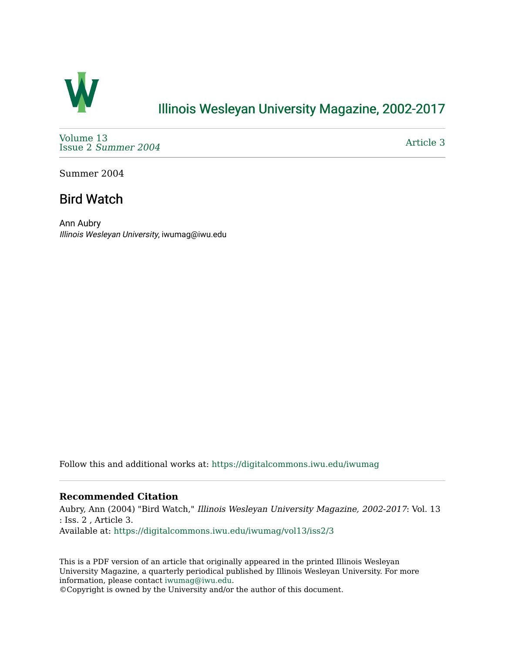

## [Illinois Wesleyan University Magazine, 2002-2017](https://digitalcommons.iwu.edu/iwumag)

[Volume 13](https://digitalcommons.iwu.edu/iwumag/vol13)  Issue 2 [Summer 2004](https://digitalcommons.iwu.edu/iwumag/vol13/iss2) 

[Article 3](https://digitalcommons.iwu.edu/iwumag/vol13/iss2/3) 

Summer 2004

## Bird Watch

Ann Aubry Illinois Wesleyan University, iwumag@iwu.edu

Follow this and additional works at: [https://digitalcommons.iwu.edu/iwumag](https://digitalcommons.iwu.edu/iwumag?utm_source=digitalcommons.iwu.edu%2Fiwumag%2Fvol13%2Fiss2%2F3&utm_medium=PDF&utm_campaign=PDFCoverPages) 

## **Recommended Citation**

Aubry, Ann (2004) "Bird Watch," Illinois Wesleyan University Magazine, 2002-2017: Vol. 13 : Iss. 2 , Article 3. Available at: [https://digitalcommons.iwu.edu/iwumag/vol13/iss2/3](https://digitalcommons.iwu.edu/iwumag/vol13/iss2/3?utm_source=digitalcommons.iwu.edu%2Fiwumag%2Fvol13%2Fiss2%2F3&utm_medium=PDF&utm_campaign=PDFCoverPages)

This is a PDF version of an article that originally appeared in the printed Illinois Wesleyan University Magazine, a quarterly periodical published by Illinois Wesleyan University. For more information, please contact [iwumag@iwu.edu](mailto:iwumag@iwu.edu).

©Copyright is owned by the University and/or the author of this document.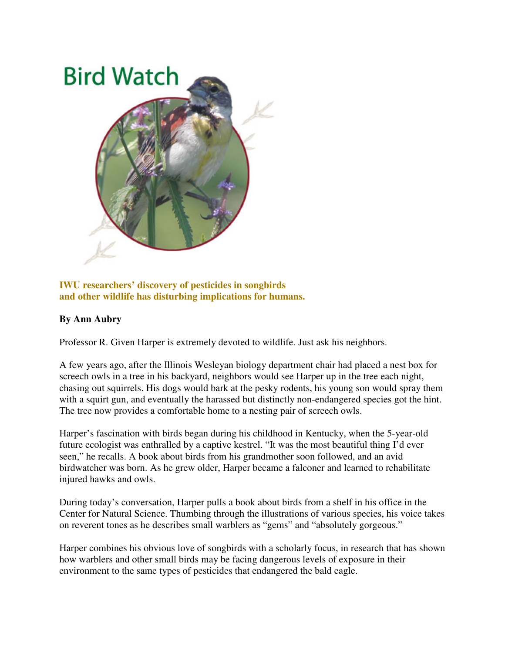

**IWU researchers' discovery of pesticides in songbirds and other wildlife has disturbing implications for humans.** 

## **By Ann Aubry**

Professor R. Given Harper is extremely devoted to wildlife. Just ask his neighbors.

A few years ago, after the Illinois Wesleyan biology department chair had placed a nest box for screech owls in a tree in his backyard, neighbors would see Harper up in the tree each night, chasing out squirrels. His dogs would bark at the pesky rodents, his young son would spray them with a squirt gun, and eventually the harassed but distinctly non-endangered species got the hint. The tree now provides a comfortable home to a nesting pair of screech owls.

Harper's fascination with birds began during his childhood in Kentucky, when the 5-year-old future ecologist was enthralled by a captive kestrel. "It was the most beautiful thing I'd ever seen," he recalls. A book about birds from his grandmother soon followed, and an avid birdwatcher was born. As he grew older, Harper became a falconer and learned to rehabilitate injured hawks and owls.

During today's conversation, Harper pulls a book about birds from a shelf in his office in the Center for Natural Science. Thumbing through the illustrations of various species, his voice takes on reverent tones as he describes small warblers as "gems" and "absolutely gorgeous."

Harper combines his obvious love of songbirds with a scholarly focus, in research that has shown how warblers and other small birds may be facing dangerous levels of exposure in their environment to the same types of pesticides that endangered the bald eagle.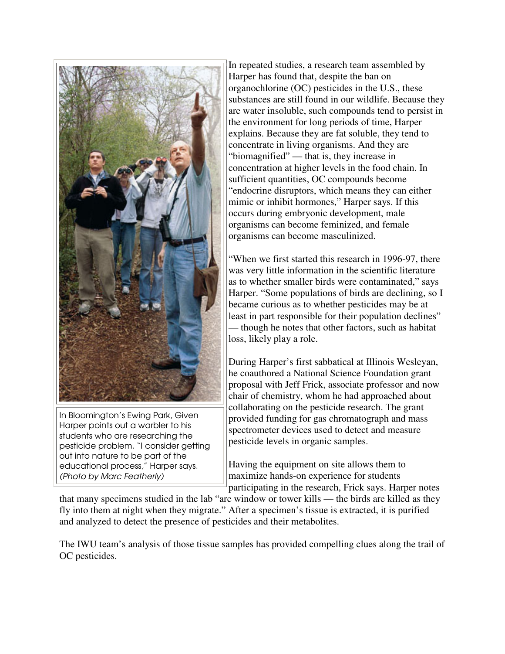

In Bloomington's Ewing Park, Given Harper points out a warbler to his students who are researching the pesticide problem. "I consider getting out into nature to be part of the educational process," Harper says. (Photo by Marc Featherly)

In repeated studies, a research team assembled by Harper has found that, despite the ban on organochlorine (OC) pesticides in the U.S., these substances are still found in our wildlife. Because they are water insoluble, such compounds tend to persist in the environment for long periods of time, Harper explains. Because they are fat soluble, they tend to concentrate in living organisms. And they are "biomagnified" — that is, they increase in concentration at higher levels in the food chain. In sufficient quantities, OC compounds become "endocrine disruptors, which means they can either mimic or inhibit hormones," Harper says. If this occurs during embryonic development, male organisms can become feminized, and female organisms can become masculinized.

"When we first started this research in 1996-97, there was very little information in the scientific literature as to whether smaller birds were contaminated," says Harper. "Some populations of birds are declining, so I became curious as to whether pesticides may be at least in part responsible for their population declines" — though he notes that other factors, such as habitat loss, likely play a role.

During Harper's first sabbatical at Illinois Wesleyan, he coauthored a National Science Foundation grant proposal with Jeff Frick, associate professor and now chair of chemistry, whom he had approached about collaborating on the pesticide research. The grant provided funding for gas chromatograph and mass spectrometer devices used to detect and measure pesticide levels in organic samples.

Having the equipment on site allows them to maximize hands-on experience for students participating in the research, Frick says. Harper notes

that many specimens studied in the lab "are window or tower kills — the birds are killed as they fly into them at night when they migrate." After a specimen's tissue is extracted, it is purified and analyzed to detect the presence of pesticides and their metabolites.

The IWU team's analysis of those tissue samples has provided compelling clues along the trail of OC pesticides.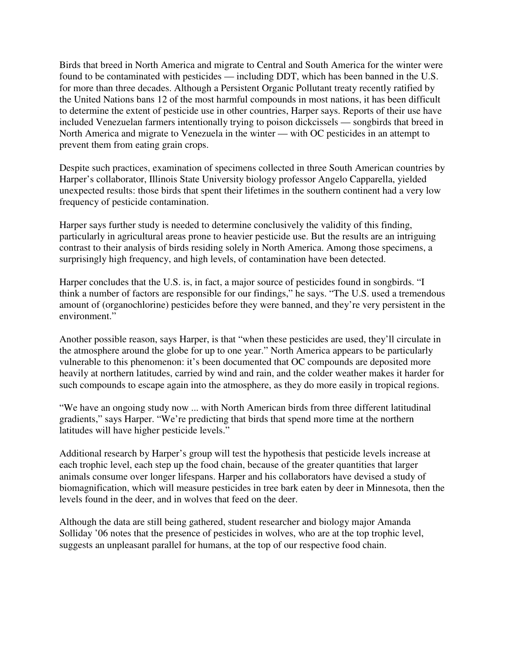Birds that breed in North America and migrate to Central and South America for the winter were found to be contaminated with pesticides — including DDT, which has been banned in the U.S. for more than three decades. Although a Persistent Organic Pollutant treaty recently ratified by the United Nations bans 12 of the most harmful compounds in most nations, it has been difficult to determine the extent of pesticide use in other countries, Harper says. Reports of their use have included Venezuelan farmers intentionally trying to poison dickcissels — songbirds that breed in North America and migrate to Venezuela in the winter — with OC pesticides in an attempt to prevent them from eating grain crops.

Despite such practices, examination of specimens collected in three South American countries by Harper's collaborator, Illinois State University biology professor Angelo Capparella, yielded unexpected results: those birds that spent their lifetimes in the southern continent had a very low frequency of pesticide contamination.

Harper says further study is needed to determine conclusively the validity of this finding, particularly in agricultural areas prone to heavier pesticide use. But the results are an intriguing contrast to their analysis of birds residing solely in North America. Among those specimens, a surprisingly high frequency, and high levels, of contamination have been detected.

Harper concludes that the U.S. is, in fact, a major source of pesticides found in songbirds. "I think a number of factors are responsible for our findings," he says. "The U.S. used a tremendous amount of (organochlorine) pesticides before they were banned, and they're very persistent in the environment."

Another possible reason, says Harper, is that "when these pesticides are used, they'll circulate in the atmosphere around the globe for up to one year." North America appears to be particularly vulnerable to this phenomenon: it's been documented that OC compounds are deposited more heavily at northern latitudes, carried by wind and rain, and the colder weather makes it harder for such compounds to escape again into the atmosphere, as they do more easily in tropical regions.

"We have an ongoing study now ... with North American birds from three different latitudinal gradients," says Harper. "We're predicting that birds that spend more time at the northern latitudes will have higher pesticide levels."

Additional research by Harper's group will test the hypothesis that pesticide levels increase at each trophic level, each step up the food chain, because of the greater quantities that larger animals consume over longer lifespans. Harper and his collaborators have devised a study of biomagnification, which will measure pesticides in tree bark eaten by deer in Minnesota, then the levels found in the deer, and in wolves that feed on the deer.

Although the data are still being gathered, student researcher and biology major Amanda Solliday '06 notes that the presence of pesticides in wolves, who are at the top trophic level, suggests an unpleasant parallel for humans, at the top of our respective food chain.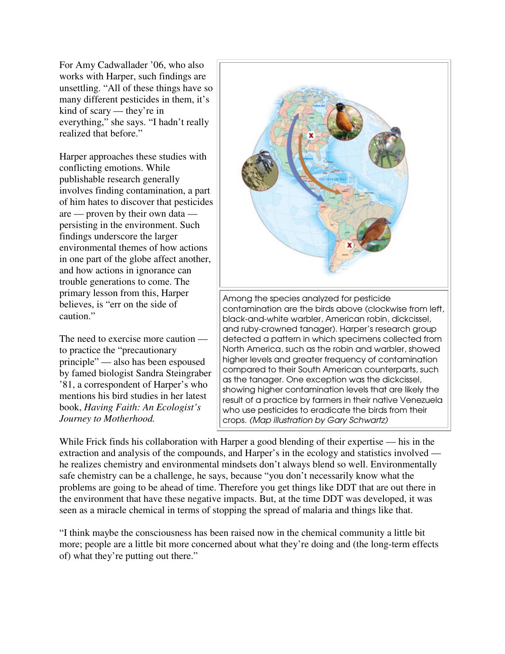For Amy Cadwallader '06, who also works with Harper, such findings are unsettling. "All of these things have so many different pesticides in them, it's kind of scary — they're in everything," she says. "I hadn't really realized that before."

Harper approaches these studies with conflicting emotions. While publishable research generally involves finding contamination, a part of him hates to discover that pesticides are — proven by their own data persisting in the environment. Such findings underscore the larger environmental themes of how actions in one part of the globe affect another, and how actions in ignorance can trouble generations to come. The primary lesson from this, Harper believes, is "err on the side of caution."

The need to exercise more caution to practice the "precautionary principle" — also has been espoused by famed biologist Sandra Steingraber '81, a correspondent of Harper's who mentions his bird studies in her latest book, *Having Faith: An Ecologist's Journey to Motherhood.*



While Frick finds his collaboration with Harper a good blending of their expertise — his in the extraction and analysis of the compounds, and Harper's in the ecology and statistics involved he realizes chemistry and environmental mindsets don't always blend so well. Environmentally safe chemistry can be a challenge, he says, because "you don't necessarily know what the problems are going to be ahead of time. Therefore you get things like DDT that are out there in the environment that have these negative impacts. But, at the time DDT was developed, it was seen as a miracle chemical in terms of stopping the spread of malaria and things like that.

"I think maybe the consciousness has been raised now in the chemical community a little bit more; people are a little bit more concerned about what they're doing and (the long-term effects of) what they're putting out there."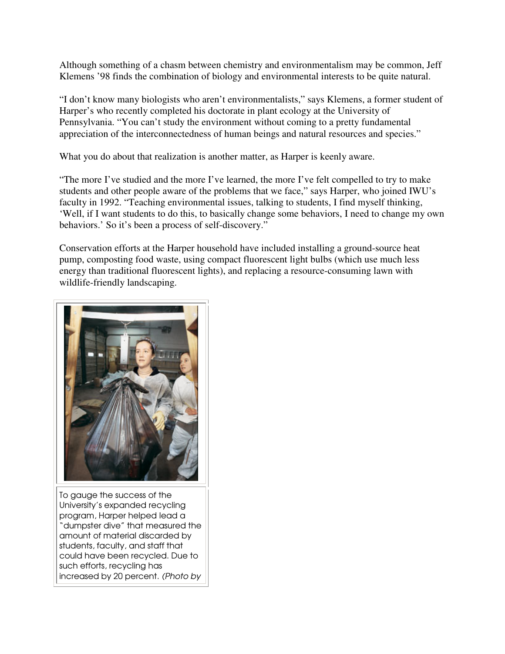Although something of a chasm between chemistry and environmentalism may be common, Jeff Klemens '98 finds the combination of biology and environmental interests to be quite natural.

"I don't know many biologists who aren't environmentalists," says Klemens, a former student of Harper's who recently completed his doctorate in plant ecology at the University of Pennsylvania. "You can't study the environment without coming to a pretty fundamental appreciation of the interconnectedness of human beings and natural resources and species."

What you do about that realization is another matter, as Harper is keenly aware.

"The more I've studied and the more I've learned, the more I've felt compelled to try to make students and other people aware of the problems that we face," says Harper, who joined IWU's faculty in 1992. "Teaching environmental issues, talking to students, I find myself thinking, 'Well, if I want students to do this, to basically change some behaviors, I need to change my own behaviors.' So it's been a process of self-discovery."

Conservation efforts at the Harper household have included installing a ground-source heat pump, composting food waste, using compact fluorescent light bulbs (which use much less energy than traditional fluorescent lights), and replacing a resource-consuming lawn with wildlife-friendly landscaping.



To gauge the success of the University's expanded recycling program, Harper helped lead a "dumpster dive" that measured the amount of material discarded by students, faculty, and staff that could have been recycled. Due to such efforts, recycling has increased by 20 percent. (Photo by